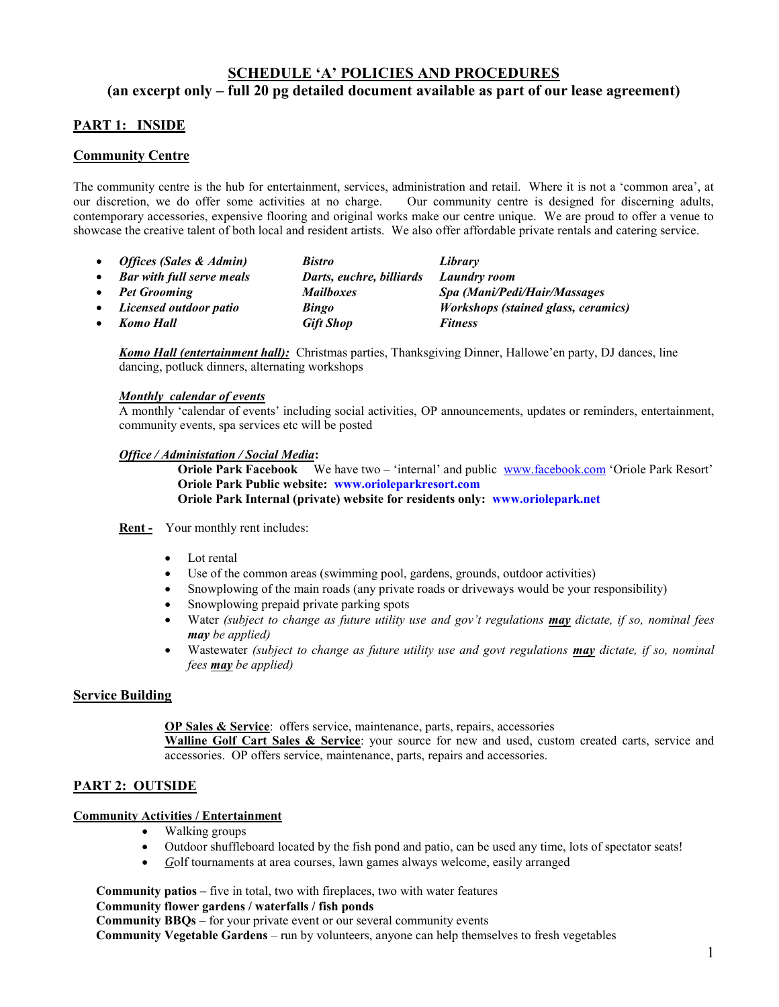# **SCHEDULE 'A' POLICIES AND PROCEDURES (an excerpt only – full 20 pg detailed document available as part of our lease agreement)**

# **PART 1: INSIDE**

## **Community Centre**

The community centre is the hub for entertainment, services, administration and retail. Where it is not a 'common area', at our discretion, we do offer some activities at no charge. Our community centre is designed for discerning adults, contemporary accessories, expensive flooring and original works make our centre unique. We are proud to offer a venue to showcase the creative talent of both local and resident artists. We also offer affordable private rentals and catering service.

- *Offices (Sales & Admin) Bistro Library*
- *Bar with full serve meals Darts, euchre, billiards Laundry room Pet Grooming Mailboxes Spa (Mani/Pedi/Hair/Massages Licensed outdoor patio Bingo Workshops (stained glass, ceramics) Komo Hall Gift Shop Fitness*

*Komo Hall (entertainment hall):* Christmas parties, Thanksgiving Dinner, Hallowe'en party, DJ dances, line dancing, potluck dinners, alternating workshops

#### *Monthly calendar of events*

A monthly 'calendar of events' including social activities, OP announcements, updates or reminders, entertainment, community events, spa services etc will be posted

#### *Office / Administation / Social Media***:**

 **Oriole Park Facebook** We have two – 'internal' and public [www.facebook.com](http://www.facebook.com/) 'Oriole Park Resort'  **Oriole Park Public website: [www.orioleparkresort.com](http://www.orioleparkresort.com/) Oriole Park Internal (private) website for residents only: [www.oriolepark.net](http://www.oriolepark.net/)**

- **Rent -** Your monthly rent includes:
	- Lot rental
	- Use of the common areas (swimming pool, gardens, grounds, outdoor activities)
	- Snowplowing of the main roads (any private roads or driveways would be your responsibility)
	- Snowplowing prepaid private parking spots
	- Water *(subject to change as future utility use and gov't regulations may dictate, if so, nominal fees may be applied)*
	- Wastewater *(subject to change as future utility use and govt regulations may dictate, if so, nominal fees may be applied)*

## **Service Building**

**OP Sales & Service**: offers service, maintenance, parts, repairs, accessories

**Walline Golf Cart Sales & Service**: your source for new and used, custom created carts, service and accessories. OP offers service, maintenance, parts, repairs and accessories.

# **PART 2: OUTSIDE**

## **Community Activities / Entertainment**

- Walking groups
- Outdoor shuffleboard located by the fish pond and patio, can be used any time, lots of spectator seats!
- *G*olf tournaments at area courses, lawn games always welcome, easily arranged

**Community patios –** five in total, two with fireplaces, two with water features

#### **Community flower gardens / waterfalls / fish ponds**

**Community BBQs** – for your private event or our several community events

**Community Vegetable Gardens** – run by volunteers, anyone can help themselves to fresh vegetables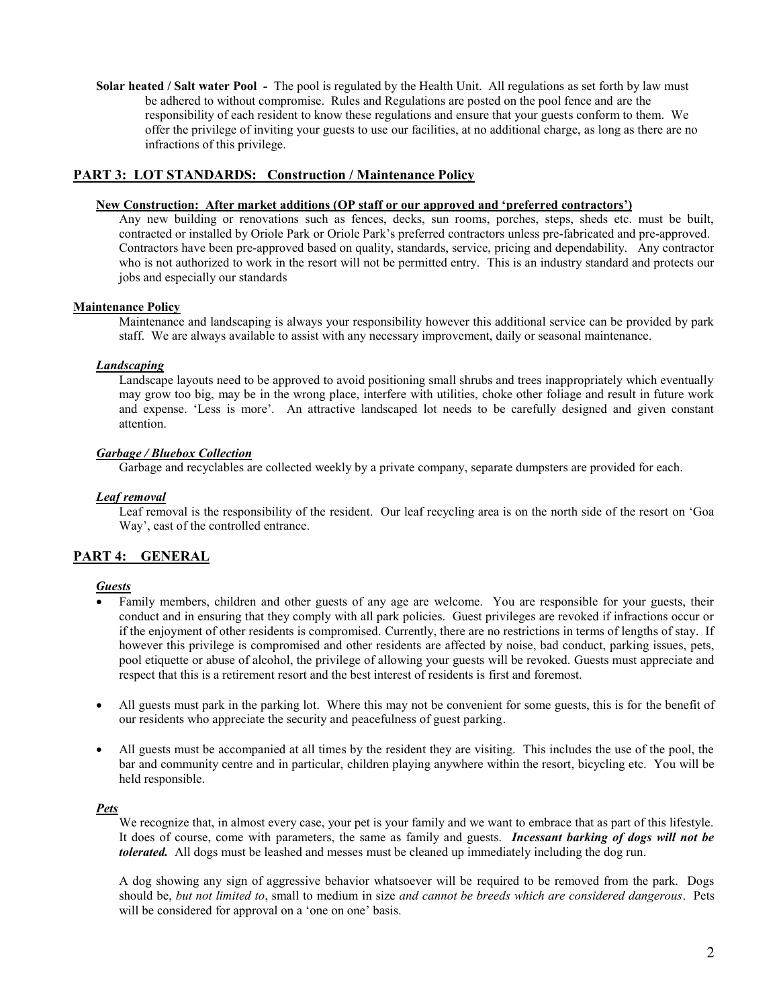**Solar heated / Salt water Pool** *-* The pool is regulated by the Health Unit. All regulations as set forth by law must be adhered to without compromise. Rules and Regulations are posted on the pool fence and are the responsibility of each resident to know these regulations and ensure that your guests conform to them. We offer the privilege of inviting your guests to use our facilities, at no additional charge, as long as there are no infractions of this privilege.

## **PART 3: LOT STANDARDS: Construction / Maintenance Policy**

#### **New Construction: After market additions (OP staff or our approved and 'preferred contractors')**

Any new building or renovations such as fences, decks, sun rooms, porches, steps, sheds etc. must be built, contracted or installed by Oriole Park or Oriole Park's preferred contractors unless pre-fabricated and pre-approved. Contractors have been pre-approved based on quality, standards, service, pricing and dependability. Any contractor who is not authorized to work in the resort will not be permitted entry. This is an industry standard and protects our jobs and especially our standards

#### **Maintenance Policy**

Maintenance and landscaping is always your responsibility however this additional service can be provided by park staff. We are always available to assist with any necessary improvement, daily or seasonal maintenance.

#### *Landscaping*

Landscape layouts need to be approved to avoid positioning small shrubs and trees inappropriately which eventually may grow too big, may be in the wrong place, interfere with utilities, choke other foliage and result in future work and expense. 'Less is more'. An attractive landscaped lot needs to be carefully designed and given constant attention.

## *Garbage / Bluebox Collection*

Garbage and recyclables are collected weekly by a private company, separate dumpsters are provided for each.

#### *Leaf removal*

Leaf removal is the responsibility of the resident. Our leaf recycling area is on the north side of the resort on 'Goa Way', east of the controlled entrance.

# **PART 4: GENERAL**

#### *Guests*

- Family members, children and other guests of any age are welcome. You are responsible for your guests, their conduct and in ensuring that they comply with all park policies. Guest privileges are revoked if infractions occur or if the enjoyment of other residents is compromised. Currently, there are no restrictions in terms of lengths of stay. If however this privilege is compromised and other residents are affected by noise, bad conduct, parking issues, pets, pool etiquette or abuse of alcohol, the privilege of allowing your guests will be revoked. Guests must appreciate and respect that this is a retirement resort and the best interest of residents is first and foremost.
- All guests must park in the parking lot. Where this may not be convenient for some guests, this is for the benefit of our residents who appreciate the security and peacefulness of guest parking.
- All guests must be accompanied at all times by the resident they are visiting. This includes the use of the pool, the bar and community centre and in particular, children playing anywhere within the resort, bicycling etc. You will be held responsible.

## *Pets*

We recognize that, in almost every case, your pet is your family and we want to embrace that as part of this lifestyle. It does of course, come with parameters, the same as family and guests. *Incessant barking of dogs will not be tolerated.* All dogs must be leashed and messes must be cleaned up immediately including the dog run.

A dog showing any sign of aggressive behavior whatsoever will be required to be removed from the park. Dogs should be, *but not limited to*, small to medium in size *and cannot be breeds which are considered dangerous*. Pets will be considered for approval on a 'one on one' basis.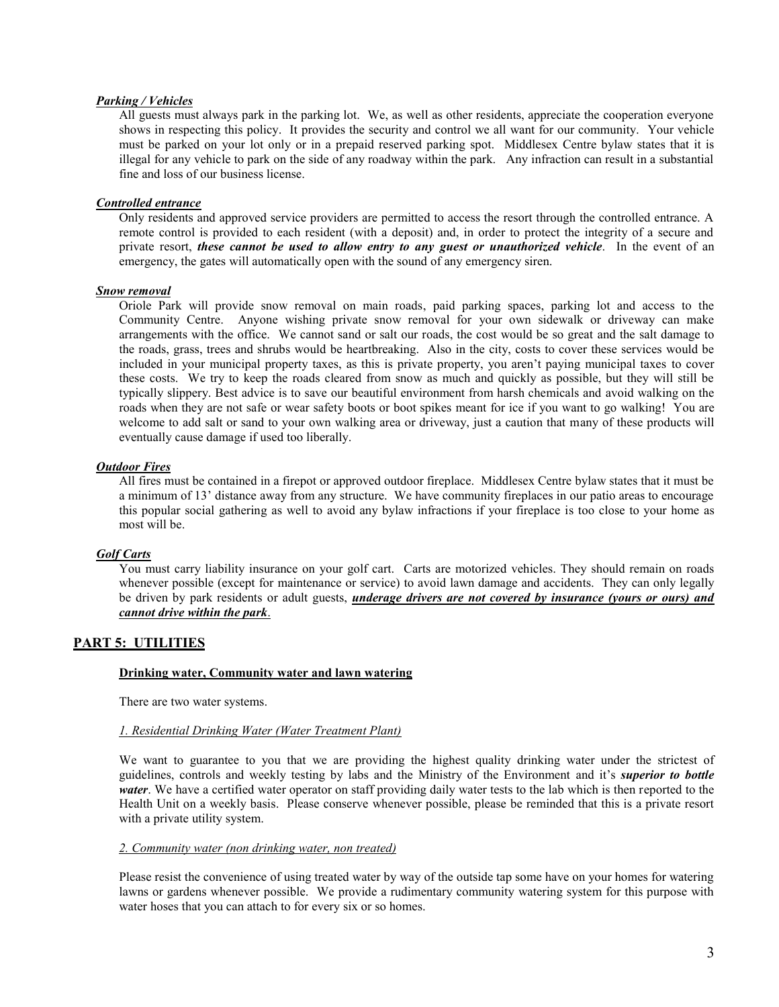#### *Parking / Vehicles*

All guests must always park in the parking lot. We, as well as other residents, appreciate the cooperation everyone shows in respecting this policy. It provides the security and control we all want for our community. Your vehicle must be parked on your lot only or in a prepaid reserved parking spot. Middlesex Centre bylaw states that it is illegal for any vehicle to park on the side of any roadway within the park. Any infraction can result in a substantial fine and loss of our business license.

#### *Controlled entrance*

Only residents and approved service providers are permitted to access the resort through the controlled entrance. A remote control is provided to each resident (with a deposit) and, in order to protect the integrity of a secure and private resort, *these cannot be used to allow entry to any guest or unauthorized vehicle*. In the event of an emergency, the gates will automatically open with the sound of any emergency siren.

#### *Snow removal*

Oriole Park will provide snow removal on main roads, paid parking spaces, parking lot and access to the Community Centre. Anyone wishing private snow removal for your own sidewalk or driveway can make arrangements with the office. We cannot sand or salt our roads, the cost would be so great and the salt damage to the roads, grass, trees and shrubs would be heartbreaking. Also in the city, costs to cover these services would be included in your municipal property taxes, as this is private property, you aren't paying municipal taxes to cover these costs. We try to keep the roads cleared from snow as much and quickly as possible, but they will still be typically slippery. Best advice is to save our beautiful environment from harsh chemicals and avoid walking on the roads when they are not safe or wear safety boots or boot spikes meant for ice if you want to go walking! You are welcome to add salt or sand to your own walking area or driveway, just a caution that many of these products will eventually cause damage if used too liberally.

#### *Outdoor Fires*

All fires must be contained in a firepot or approved outdoor fireplace. Middlesex Centre bylaw states that it must be a minimum of 13' distance away from any structure. We have community fireplaces in our patio areas to encourage this popular social gathering as well to avoid any bylaw infractions if your fireplace is too close to your home as most will be.

## *Golf Carts*

You must carry liability insurance on your golf cart. Carts are motorized vehicles. They should remain on roads whenever possible (except for maintenance or service) to avoid lawn damage and accidents. They can only legally be driven by park residents or adult guests, *underage drivers are not covered by insurance (yours or ours) and cannot drive within the park*.

# **PART 5: UTILITIES**

#### **Drinking water, Community water and lawn watering**

There are two water systems.

## *1. Residential Drinking Water (Water Treatment Plant)*

We want to guarantee to you that we are providing the highest quality drinking water under the strictest of guidelines, controls and weekly testing by labs and the Ministry of the Environment and it's *superior to bottle water*. We have a certified water operator on staff providing daily water tests to the lab which is then reported to the Health Unit on a weekly basis. Please conserve whenever possible, please be reminded that this is a private resort with a private utility system.

#### *2. Community water (non drinking water, non treated)*

Please resist the convenience of using treated water by way of the outside tap some have on your homes for watering lawns or gardens whenever possible. We provide a rudimentary community watering system for this purpose with water hoses that you can attach to for every six or so homes.